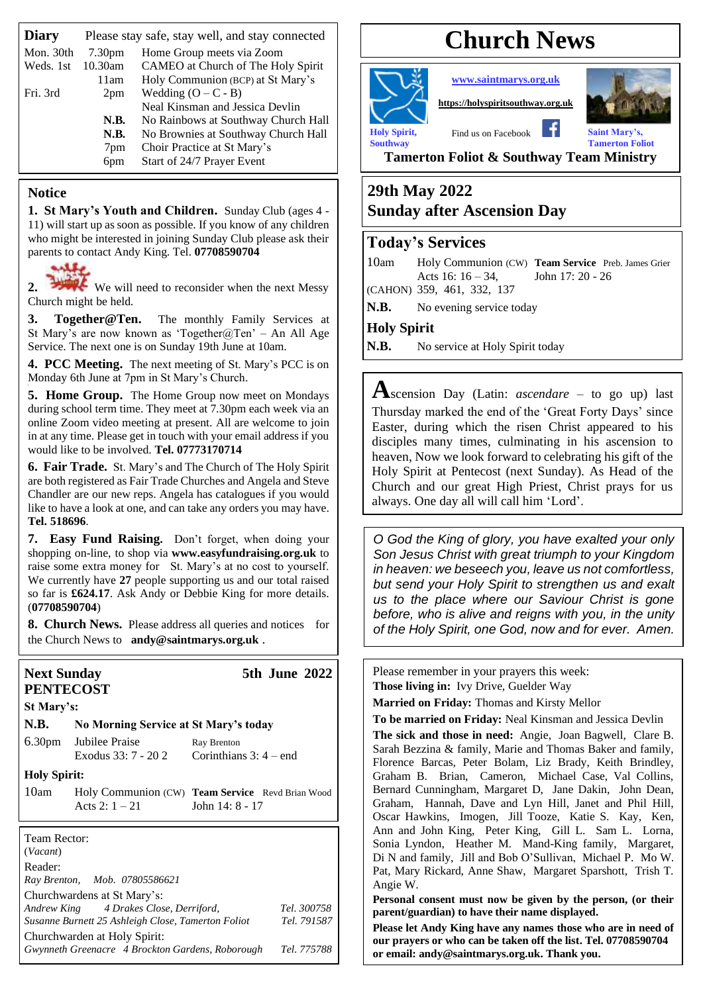| <b>Diary</b> | Please stay safe, stay well, and stay connected |                                     |
|--------------|-------------------------------------------------|-------------------------------------|
| Mon. 30th    | 7.30 <sub>pm</sub>                              | Home Group meets via Zoom           |
| Weds. 1st    | 10.30am                                         | CAMEO at Church of The Holy Spirit  |
|              | 11am                                            | Holy Communion (BCP) at St Mary's   |
| Fri. 3rd     | 2 <sub>pm</sub>                                 | Wedding $(O - C - B)$               |
|              |                                                 | Neal Kinsman and Jessica Devlin     |
|              | N.B.                                            | No Rainbows at Southway Church Hall |
|              | N.B.                                            | No Brownies at Southway Church Hall |
|              | 7pm                                             | Choir Practice at St Mary's         |
|              | 6 <sub>pm</sub>                                 | Start of 24/7 Prayer Event          |

#### **Notice**

**1. St Mary's Youth and Children.** Sunday Club (ages 4 - 11) will start up as soon as possible. If you know of any children who might be interested in joining Sunday Club please ask their parents to contact Andy King. Tel. **07708590704**

2. We will need to reconsider when the next Messy Church might be held.

**3. Together@Ten.** The monthly Family Services at St Mary's are now known as 'Together@Ten' – An All Age Service. The next one is on Sunday 19th June at 10am.

**4. PCC Meeting.** The next meeting of St. Mary's PCC is on Monday 6th June at 7pm in St Mary's Church.

**5. Home Group.** The Home Group now meet on Mondays during school term time. They meet at 7.30pm each week via an online Zoom video meeting at present. All are welcome to join in at any time. Please get in touch with your email address if you would like to be involved. **Tel. 07773170714**

**6. Fair Trade.** St. Mary's and The Church of The Holy Spirit are both registered as Fair Trade Churches and Angela and Steve Chandler are our new reps. Angela has catalogues if you would like to have a look at one, and can take any orders you may have. **Tel. 518696**.

**7. Easy Fund Raising.** Don't forget, when doing your shopping on-line, to shop via **[www.easyfundraising.org.uk](http://www.easyfundraising.org.uk/)** to raise some extra money for St. Mary's at no cost to yourself. We currently have **27** people supporting us and our total raised so far is **£624.17**. Ask Andy or Debbie King for more details. (**07708590704**)

**8. Church News.** Please address all queries and notices for the Church News to **[andy@saintmarys.org.uk](mailto:andy@saintmarys.org.uk)** .

# **PENTECOST**

**Next Sunday 5th June 2022**

| St Mary's: |                |                                       |
|------------|----------------|---------------------------------------|
| N.B.       |                | No Morning Service at St Mary's today |
| 6.30nm     | Jubilee Droice | $D_{\alpha x}, D_{\alpha\alpha\beta}$ |

6.30pm Jubilee Praise Ray Brenton<br>Exodus 33: 7 - 20 2 Corinthian

Corinthians  $3: 4$  – end

**Holy Spirit:**

10am Holy Communion (CW) **Team Service** Revd Brian Wood Acts 2:  $1 - 21$  John 14:  $8 - 17$ 

Team Rector: (*Vacant*) Reader: *Ray Brenton, Mob. 07805586621* Churchwardens at St Mary's: *Andrew King 4 Drakes Close, Derriford, Tel. 300758 Susanne Burnett 25 Ashleigh Close, Tamerton Foliot Tel. 791587* Churchwarden at Holy Spirit: *Gwynneth Greenacre 4 Brockton Gardens, Roborough Tel. 775788*

# **Church News**

**Holy Spirit,** Find us on Facebook **Saint Mary's**,

**[www.saintmarys.org.uk](http://www.saintmarys.org.uk/)**

**[https://holyspiritsouthway.org.uk](https://holyspiritsouthway.org.uk/)**



**Southway Tamerton Foliot**

**Tamerton Foliot & Southway Team Ministry**

### **29th May 2022 Sunday after Ascension Day**

#### **Today's Services**

10am Holy Communion (CW) **Team Service** Preb. James Grier Acts 16: 16 – 34, John 17: 20 - 26 (CAHON) 359, 461, 332, 137

N.B. No evening service today

**Holy Spirit**

N.B. No service at Holy Spirit today

**A**scension Day (Latin: *ascendare* – to go up) last Thursday marked the end of the 'Great Forty Days' since Easter, during which the risen Christ appeared to his disciples many times, culminating in his ascension to heaven, Now we look forward to celebrating his gift of the Holy Spirit at Pentecost (next Sunday). As Head of the Church and our great High Priest, Christ prays for us always. One day all will call him 'Lord'.

*O God the King of glory, you have exalted your only Son Jesus Christ with great triumph to your Kingdom in heaven: we beseech you, leave us not comfortless, but send your Holy Spirit to strengthen us and exalt us to the place where our Saviour Christ is gone before, who is alive and reigns with you, in the unity of the Holy Spirit, one God, now and for ever. Amen.*

Please remember in your prayers this week:

**Those living in:** Ivy Drive, Guelder Way

**Married on Friday:** Thomas and Kirsty Mellor

**To be married on Friday:** Neal Kinsman and Jessica Devlin **The sick and those in need:** Angie, Joan Bagwell, Clare B. Sarah Bezzina & family, Marie and Thomas Baker and family, Florence Barcas, Peter Bolam, Liz Brady, Keith Brindley, Graham B. Brian, Cameron, Michael Case, Val Collins, Bernard Cunningham, Margaret D, Jane Dakin, John Dean, Graham, Hannah, Dave and Lyn Hill, Janet and Phil Hill, Oscar Hawkins, Imogen, Jill Tooze, Katie S. Kay, Ken, Ann and John King, Peter King, Gill L. Sam L. Lorna, Sonia Lyndon, Heather M. Mand-King family, Margaret, Di N and family, Jill and Bob O'Sullivan, Michael P. Mo W. Pat, Mary Rickard, Anne Shaw, Margaret Sparshott, Trish T. Angie W.

**Personal consent must now be given by the person, (or their parent/guardian) to have their name displayed.**

**Please let Andy King have any names those who are in need of our prayers or who can be taken off the list. Tel. 07708590704 or email: andy@saintmarys.org.uk. Thank you.**